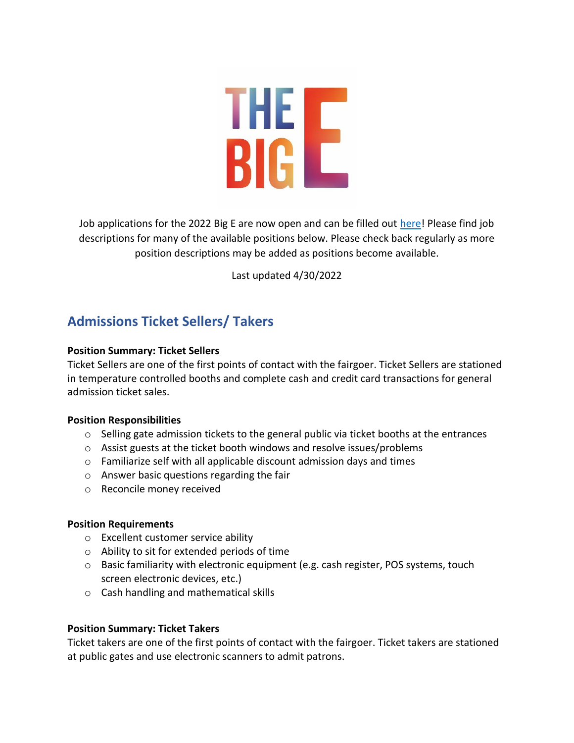

Job applications for the 2022 Big E are now open and can be filled out [here!](https://form.jotform.com/210244559291152) Please find job descriptions for many of the available positions below. Please check back regularly as more position descriptions may be added as positions become available.

Last updated 4/30/2022

## **Admissions Ticket Sellers/ Takers**

### **Position Summary: Ticket Sellers**

Ticket Sellers are one of the first points of contact with the fairgoer. Ticket Sellers are stationed in temperature controlled booths and complete cash and credit card transactions for general admission ticket sales.

### **Position Responsibilities**

- $\circ$  Selling gate admission tickets to the general public via ticket booths at the entrances
- o Assist guests at the ticket booth windows and resolve issues/problems
- o Familiarize self with all applicable discount admission days and times
- o Answer basic questions regarding the fair
- o Reconcile money received

### **Position Requirements**

- o Excellent customer service ability
- o Ability to sit for extended periods of time
- $\circ$  Basic familiarity with electronic equipment (e.g. cash register, POS systems, touch screen electronic devices, etc.)
- o Cash handling and mathematical skills

### **Position Summary: Ticket Takers**

Ticket takers are one of the first points of contact with the fairgoer. Ticket takers are stationed at public gates and use electronic scanners to admit patrons.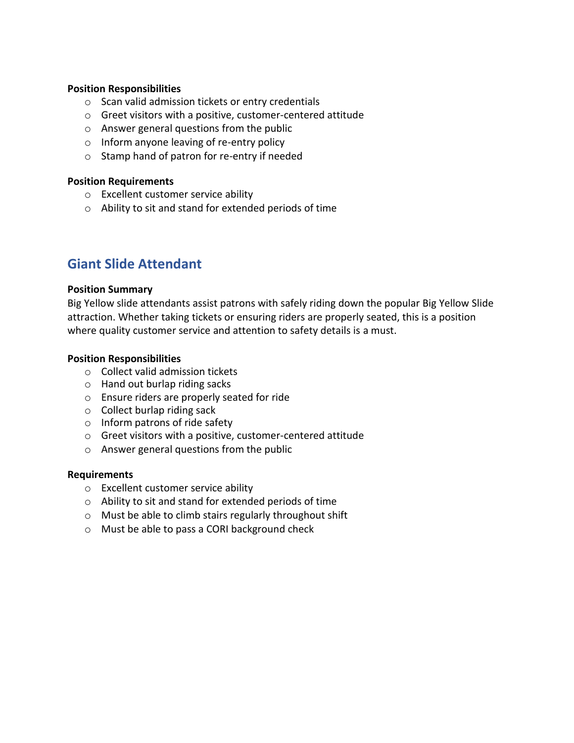### **Position Responsibilities**

- o Scan valid admission tickets or entry credentials
- o Greet visitors with a positive, customer-centered attitude
- o Answer general questions from the public
- o Inform anyone leaving of re-entry policy
- o Stamp hand of patron for re-entry if needed

### **Position Requirements**

- o Excellent customer service ability
- o Ability to sit and stand for extended periods of time

### **Giant Slide Attendant**

### **Position Summary**

Big Yellow slide attendants assist patrons with safely riding down the popular Big Yellow Slide attraction. Whether taking tickets or ensuring riders are properly seated, this is a position where quality customer service and attention to safety details is a must.

### **Position Responsibilities**

- o Collect valid admission tickets
- o Hand out burlap riding sacks
- o Ensure riders are properly seated for ride
- o Collect burlap riding sack
- o Inform patrons of ride safety
- o Greet visitors with a positive, customer-centered attitude
- o Answer general questions from the public

#### **Requirements**

- o Excellent customer service ability
- o Ability to sit and stand for extended periods of time
- o Must be able to climb stairs regularly throughout shift
- o Must be able to pass a CORI background check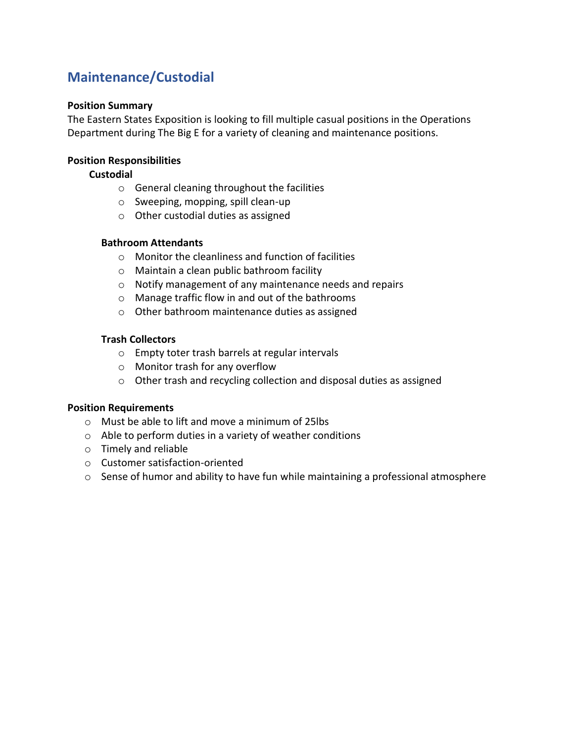## **Maintenance/Custodial**

### **Position Summary**

The Eastern States Exposition is looking to fill multiple casual positions in the Operations Department during The Big E for a variety of cleaning and maintenance positions.

### **Position Responsibilities**

### **Custodial**

- o General cleaning throughout the facilities
- o Sweeping, mopping, spill clean-up
- o Other custodial duties as assigned

### **Bathroom Attendants**

- o Monitor the cleanliness and function of facilities
- o Maintain a clean public bathroom facility
- o Notify management of any maintenance needs and repairs
- o Manage traffic flow in and out of the bathrooms
- o Other bathroom maintenance duties as assigned

### **Trash Collectors**

- o Empty toter trash barrels at regular intervals
- o Monitor trash for any overflow
- o Other trash and recycling collection and disposal duties as assigned

- o Must be able to lift and move a minimum of 25lbs
- o Able to perform duties in a variety of weather conditions
- o Timely and reliable
- o Customer satisfaction-oriented
- o Sense of humor and ability to have fun while maintaining a professional atmosphere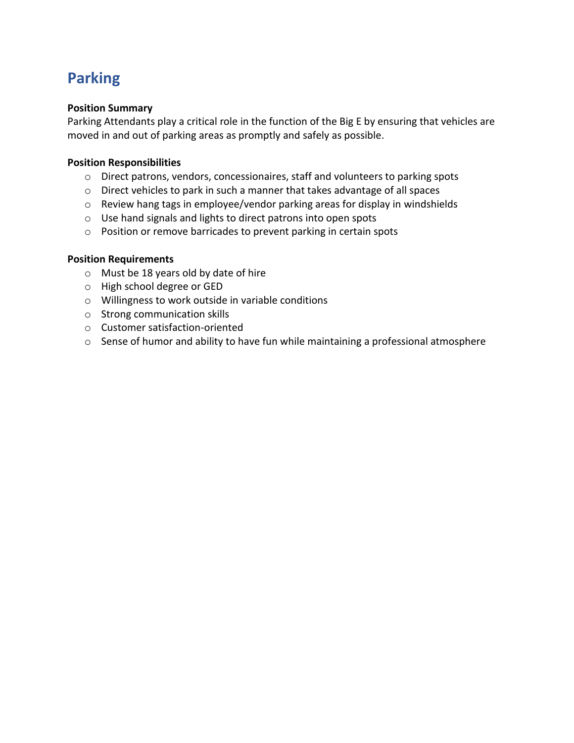# **Parking**

### **Position Summary**

Parking Attendants play a critical role in the function of the Big E by ensuring that vehicles are moved in and out of parking areas as promptly and safely as possible.

### **Position Responsibilities**

- o Direct patrons, vendors, concessionaires, staff and volunteers to parking spots
- o Direct vehicles to park in such a manner that takes advantage of all spaces
- o Review hang tags in employee/vendor parking areas for display in windshields
- o Use hand signals and lights to direct patrons into open spots
- o Position or remove barricades to prevent parking in certain spots

- o Must be 18 years old by date of hire
- o High school degree or GED
- o Willingness to work outside in variable conditions
- o Strong communication skills
- o Customer satisfaction-oriented
- o Sense of humor and ability to have fun while maintaining a professional atmosphere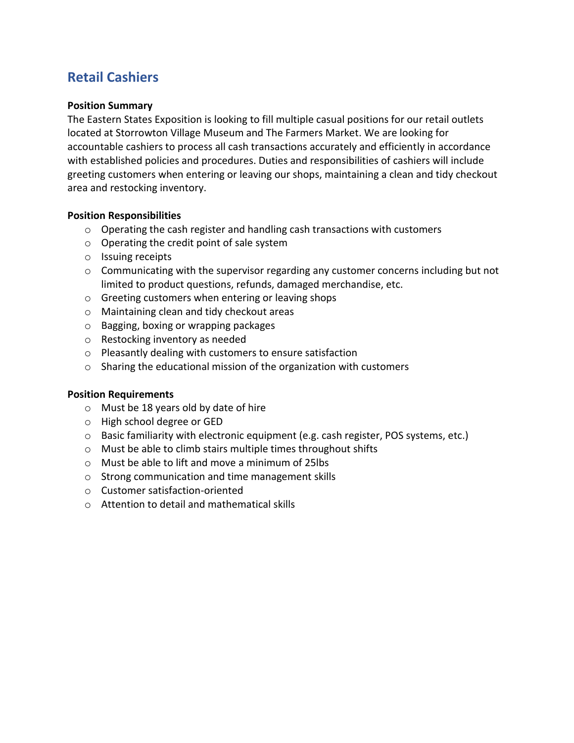## **Retail Cashiers**

### **Position Summary**

The Eastern States Exposition is looking to fill multiple casual positions for our retail outlets located at Storrowton Village Museum and The Farmers Market. We are looking for accountable cashiers to process all cash transactions accurately and efficiently in accordance with established policies and procedures. Duties and responsibilities of cashiers will include greeting customers when entering or leaving our shops, maintaining a clean and tidy checkout area and restocking inventory.

### **Position Responsibilities**

- $\circ$  Operating the cash register and handling cash transactions with customers
- o Operating the credit point of sale system
- o Issuing receipts
- $\circ$  Communicating with the supervisor regarding any customer concerns including but not limited to product questions, refunds, damaged merchandise, etc.
- o Greeting customers when entering or leaving shops
- o Maintaining clean and tidy checkout areas
- o Bagging, boxing or wrapping packages
- o Restocking inventory as needed
- o Pleasantly dealing with customers to ensure satisfaction
- o Sharing the educational mission of the organization with customers

- o Must be 18 years old by date of hire
- o High school degree or GED
- $\circ$  Basic familiarity with electronic equipment (e.g. cash register, POS systems, etc.)
- o Must be able to climb stairs multiple times throughout shifts
- o Must be able to lift and move a minimum of 25lbs
- o Strong communication and time management skills
- o Customer satisfaction-oriented
- o Attention to detail and mathematical skills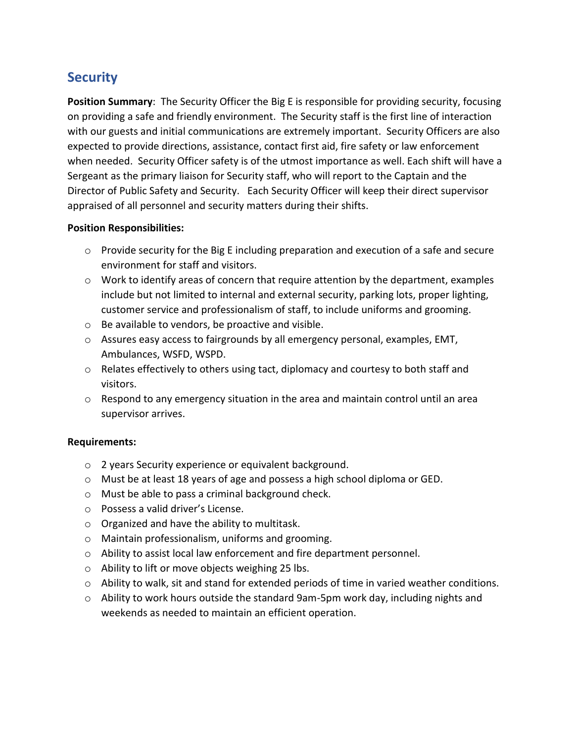## **Security**

**Position Summary**: The Security Officer the Big E is responsible for providing security, focusing on providing a safe and friendly environment. The Security staff is the first line of interaction with our guests and initial communications are extremely important. Security Officers are also expected to provide directions, assistance, contact first aid, fire safety or law enforcement when needed. Security Officer safety is of the utmost importance as well. Each shift will have a Sergeant as the primary liaison for Security staff, who will report to the Captain and the Director of Public Safety and Security. Each Security Officer will keep their direct supervisor appraised of all personnel and security matters during their shifts.

### **Position Responsibilities:**

- $\circ$  Provide security for the Big E including preparation and execution of a safe and secure environment for staff and visitors.
- $\circ$  Work to identify areas of concern that require attention by the department, examples include but not limited to internal and external security, parking lots, proper lighting, customer service and professionalism of staff, to include uniforms and grooming.
- o Be available to vendors, be proactive and visible.
- o Assures easy access to fairgrounds by all emergency personal, examples, EMT, Ambulances, WSFD, WSPD.
- $\circ$  Relates effectively to others using tact, diplomacy and courtesy to both staff and visitors.
- $\circ$  Respond to any emergency situation in the area and maintain control until an area supervisor arrives.

### **Requirements:**

- o 2 years Security experience or equivalent background.
- o Must be at least 18 years of age and possess a high school diploma or GED.
- o Must be able to pass a criminal background check.
- o Possess a valid driver's License.
- o Organized and have the ability to multitask.
- o Maintain professionalism, uniforms and grooming.
- o Ability to assist local law enforcement and fire department personnel.
- o Ability to lift or move objects weighing 25 lbs.
- o Ability to walk, sit and stand for extended periods of time in varied weather conditions.
- o Ability to work hours outside the standard 9am-5pm work day, including nights and weekends as needed to maintain an efficient operation.